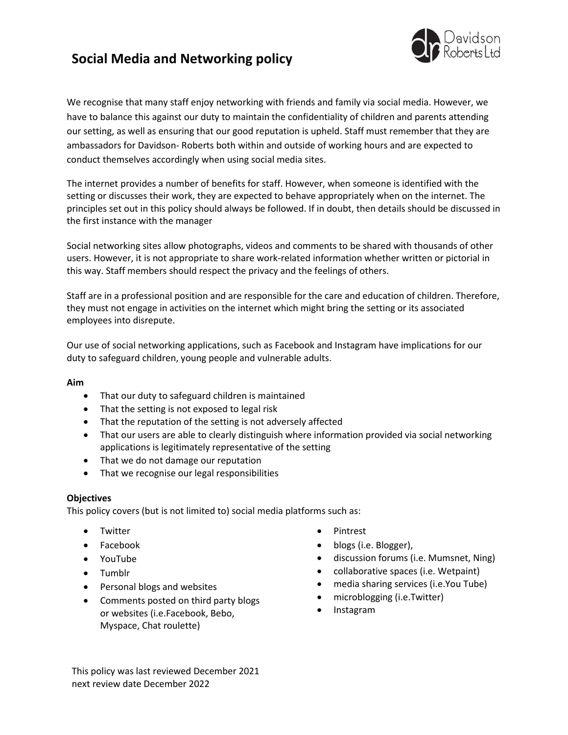# **Social Media and Networking policy**



We recognise that many staff enjoy networking with friends and family via social media. However, we have to balance this against our duty to maintain the confidentiality of children and parents attending our setting, as well as ensuring that our good reputation is upheld. Staff must remember that they are ambassadors for Davidson- Roberts both within and outside of working hours and are expected to conduct themselves accordingly when using social media sites.

The internet provides a number of benefits for staff. However, when someone is identified with the setting or discusses their work, they are expected to behave appropriately when on the internet. The principles set out in this policy should always be followed. If in doubt, then details should be discussed in the first instance with the manager

Social networking sites allow photographs, videos and comments to be shared with thousands of other users. However, it is not appropriate to share work-related information whether written or pictorial in this way. Staff members should respect the privacy and the feelings of others.

Staff are in a professional position and are responsible for the care and education of children. Therefore, they must not engage in activities on the internet which might bring the setting or its associated employees into disrepute.

Our use of social networking applications, such as Facebook and Instagram have implications for our duty to safeguard children, young people and vulnerable adults.

### **Aim**

- That our duty to safeguard children is maintained
- That the setting is not exposed to legal risk
- That the reputation of the setting is not adversely affected
- That our users are able to clearly distinguish where information provided via social networking applications is legitimately representative of the setting
- That we do not damage our reputation
- That we recognise our legal responsibilities

### **Objectives**

This policy covers (but is not limited to) social media platforms such as:

- Twitter
- Facebook
- YouTube
- Tumblr
- Personal blogs and websites
- Comments posted on third party blogs or websites (i.e.Facebook, Bebo, Myspace, Chat roulette)
- Pintrest
- blogs (i.e. Blogger),
- discussion forums (i.e. Mumsnet, Ning)
- collaborative spaces (i.e. Wetpaint)
- media sharing services (i.e.You Tube)
- microblogging (i.e.Twitter)
- Instagram

This policy was last reviewed December 2021 next review date December 2022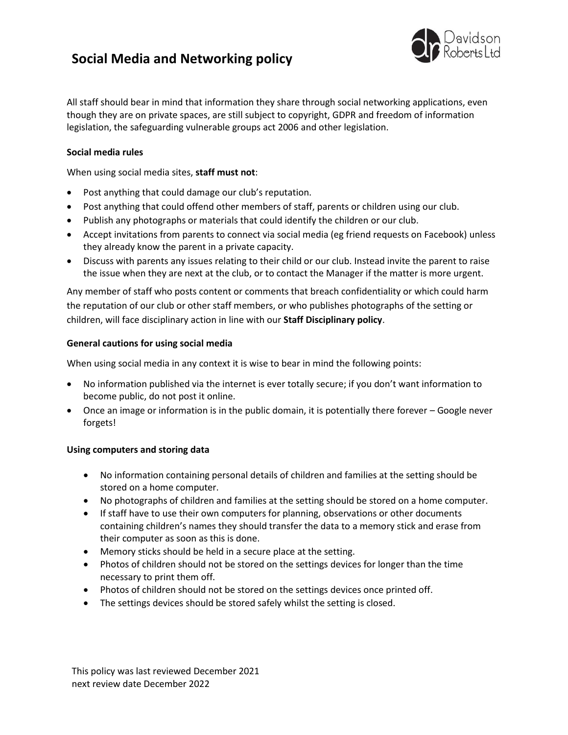# **Social Media and Networking policy**



All staff should bear in mind that information they share through social networking applications, even though they are on private spaces, are still subject to copyright, GDPR and freedom of information legislation, the safeguarding vulnerable groups act 2006 and other legislation.

## **Social media rules**

When using social media sites, **staff must not**:

- Post anything that could damage our club's reputation.
- Post anything that could offend other members of staff, parents or children using our club.
- Publish any photographs or materials that could identify the children or our club.
- Accept invitations from parents to connect via social media (eg friend requests on Facebook) unless they already know the parent in a private capacity.
- Discuss with parents any issues relating to their child or our club. Instead invite the parent to raise the issue when they are next at the club, or to contact the Manager if the matter is more urgent.

Any member of staff who posts content or comments that breach confidentiality or which could harm the reputation of our club or other staff members, or who publishes photographs of the setting or children, will face disciplinary action in line with our **Staff Disciplinary policy**.

### **General cautions for using social media**

When using social media in any context it is wise to bear in mind the following points:

- No information published via the internet is ever totally secure; if you don't want information to become public, do not post it online.
- Once an image or information is in the public domain, it is potentially there forever Google never forgets!

### **Using computers and storing data**

- No information containing personal details of children and families at the setting should be stored on a home computer.
- No photographs of children and families at the setting should be stored on a home computer.
- If staff have to use their own computers for planning, observations or other documents containing children's names they should transfer the data to a memory stick and erase from their computer as soon as this is done.
- Memory sticks should be held in a secure place at the setting.
- Photos of children should not be stored on the settings devices for longer than the time necessary to print them off.
- Photos of children should not be stored on the settings devices once printed off.
- The settings devices should be stored safely whilst the setting is closed.